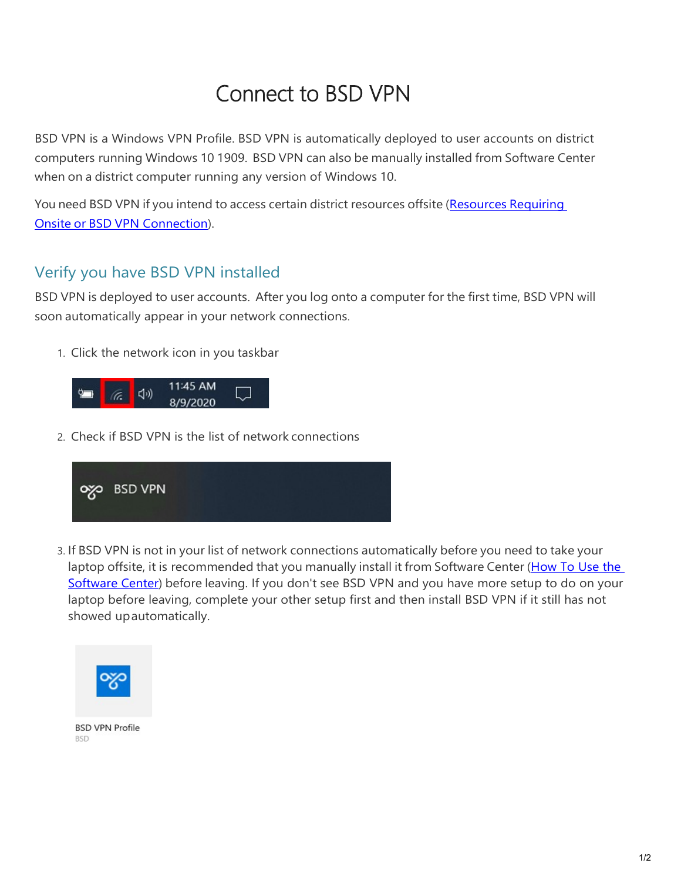## [Connect to BSD VPN](https://bsd405.sharepoint.com/HowTo/Technology/SitePages/Windows%2010/Connect%20to%20BSD%20VPN.aspx)

BSD VPN is a Windows VPN Profile. BSD VPN is automatically deployed to user accounts on district computers running Windows 10 1909. BSD VPN can also be manually installed from Software Center when on a district computer running any version of Windows 10.

You need BSD VPN if you intend to access certain district resources offsite [\(Resources](https://bsd405.org/wp-content/uploads/2021/01/Resources-Requiring-Onsite-or-BSD-VPN-Connection.pdf) Requiring Onsite or BSD [VPN Connection\)](https://bsd405.org/wp-content/uploads/2021/01/Resources-Requiring-Onsite-or-BSD-VPN-Connection.pdf).

## Verify you have BSD VPN installed

BSD VPN is deployed to user accounts. After you log onto a computer for the first time, BSD VPN will soon automatically appear in your network connections.

1. Click the network icon in you taskbar



2. Check if BSD VPN is the list of network connections



3. If BSD VPN is not in your list of network connections automatically before you need to take your laptop offsite, it is recommended that you manually install it from Software Center (How To Use the [Software Center\)](https://bsd405.org/wp-content/uploads/2021/01/Technology-Install-Applications-from-Software-Center.pdf) before leaving. If you don't see BSD VPN and you have more setup to do on your laptop before leaving, complete your other setup first and then install BSD VPN if it still has not showed upautomatically.



**BSD VPN Profile BSD**